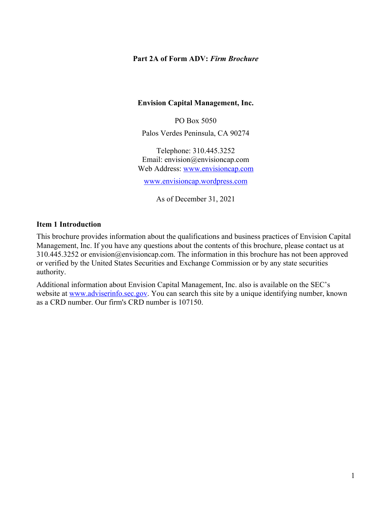#### **Part 2A of Form ADV:** *Firm Brochure*

#### **Envision Capital Management, Inc.**

PO Box 5050

Palos Verdes Peninsula, CA 90274

Telephone: 310.445.3252 Email: envision@envisioncap.com Web Address: www.envisioncap.com

www.envisioncap.wordpress.com

As of December 31, 2021

#### **Item 1 Introduction**

This brochure provides information about the qualifications and business practices of Envision Capital Management, Inc. If you have any questions about the contents of this brochure, please contact us at 310.445.3252 or envision@envisioncap.com. The information in this brochure has not been approved or verified by the United States Securities and Exchange Commission or by any state securities authority.

Additional information about Envision Capital Management, Inc. also is available on the SEC's website at www.adviserinfo.sec.gov. You can search this site by a unique identifying number, known as a CRD number. Our firm's CRD number is 107150.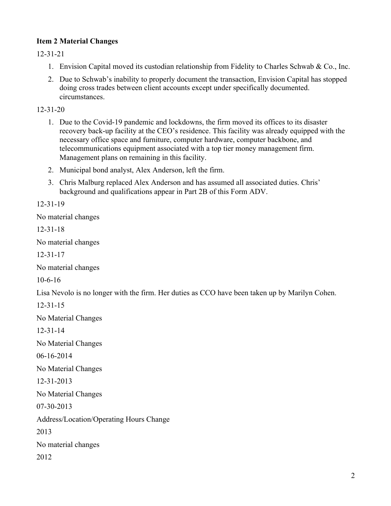# **Item 2 Material Changes**

12-31-21

- 1. Envision Capital moved its custodian relationship from Fidelity to Charles Schwab & Co., Inc.
- 2. Due to Schwab's inability to properly document the transaction, Envision Capital has stopped doing cross trades between client accounts except under specifically documented. circumstances.

12-31-20

- 1. Due to the Covid-19 pandemic and lockdowns, the firm moved its offices to its disaster recovery back-up facility at the CEO's residence. This facility was already equipped with the necessary office space and furniture, computer hardware, computer backbone, and telecommunications equipment associated with a top tier money management firm. Management plans on remaining in this facility.
- 2. Municipal bond analyst, Alex Anderson, left the firm.
- 3. Chris Malburg replaced Alex Anderson and has assumed all associated duties. Chris' background and qualifications appear in Part 2B of this Form ADV.

12-31-19

No material changes

12-31-18

No material changes

12-31-17

No material changes

10-6-16

Lisa Nevolo is no longer with the firm. Her duties as CCO have been taken up by Marilyn Cohen.

12-31-15

No Material Changes

12-31-14

No Material Changes

06-16-2014

No Material Changes

12-31-2013

No Material Changes

07-30-2013

Address/Location/Operating Hours Change

2013

No material changes

2012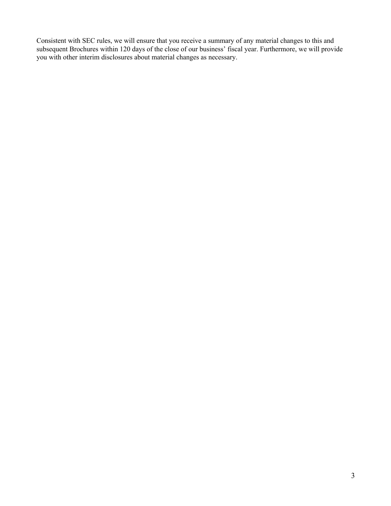Consistent with SEC rules, we will ensure that you receive a summary of any material changes to this and subsequent Brochures within 120 days of the close of our business' fiscal year. Furthermore, we will provide you with other interim disclosures about material changes as necessary.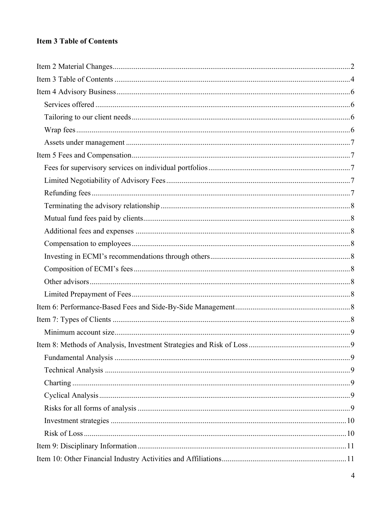# **Item 3 Table of Contents**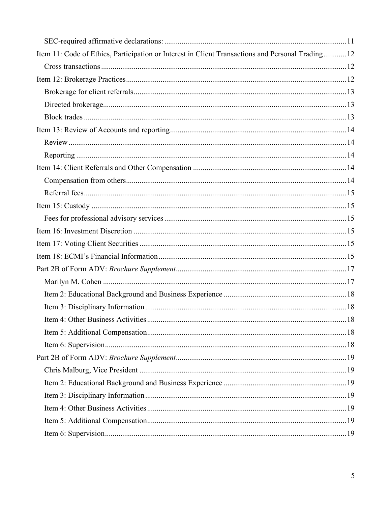| Item 11: Code of Ethics, Participation or Interest in Client Transactions and Personal Trading 12 |  |
|---------------------------------------------------------------------------------------------------|--|
|                                                                                                   |  |
|                                                                                                   |  |
|                                                                                                   |  |
|                                                                                                   |  |
|                                                                                                   |  |
|                                                                                                   |  |
|                                                                                                   |  |
|                                                                                                   |  |
|                                                                                                   |  |
|                                                                                                   |  |
|                                                                                                   |  |
|                                                                                                   |  |
|                                                                                                   |  |
|                                                                                                   |  |
|                                                                                                   |  |
|                                                                                                   |  |
|                                                                                                   |  |
|                                                                                                   |  |
|                                                                                                   |  |
|                                                                                                   |  |
|                                                                                                   |  |
|                                                                                                   |  |
|                                                                                                   |  |
|                                                                                                   |  |
|                                                                                                   |  |
|                                                                                                   |  |
|                                                                                                   |  |
|                                                                                                   |  |
|                                                                                                   |  |
|                                                                                                   |  |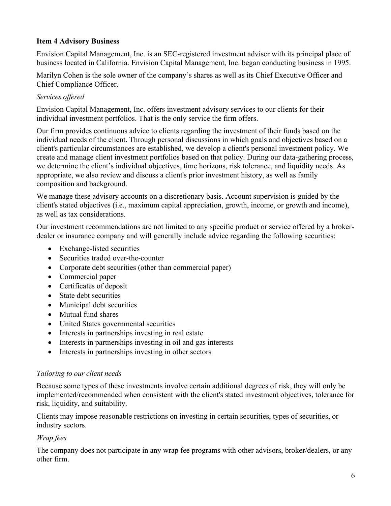## **Item 4 Advisory Business**

Envision Capital Management, Inc. is an SEC-registered investment adviser with its principal place of business located in California. Envision Capital Management, Inc. began conducting business in 1995.

Marilyn Cohen is the sole owner of the company's shares as well as its Chief Executive Officer and Chief Compliance Officer.

# *Services offered*

Envision Capital Management, Inc. offers investment advisory services to our clients for their individual investment portfolios. That is the only service the firm offers.

Our firm provides continuous advice to clients regarding the investment of their funds based on the individual needs of the client. Through personal discussions in which goals and objectives based on a client's particular circumstances are established, we develop a client's personal investment policy. We create and manage client investment portfolios based on that policy. During our data-gathering process, we determine the client's individual objectives, time horizons, risk tolerance, and liquidity needs. As appropriate, we also review and discuss a client's prior investment history, as well as family composition and background.

We manage these advisory accounts on a discretionary basis. Account supervision is guided by the client's stated objectives (i.e., maximum capital appreciation, growth, income, or growth and income), as well as tax considerations.

Our investment recommendations are not limited to any specific product or service offered by a brokerdealer or insurance company and will generally include advice regarding the following securities:

- Exchange-listed securities
- Securities traded over-the-counter
- Corporate debt securities (other than commercial paper)
- Commercial paper
- Certificates of deposit
- State debt securities
- Municipal debt securities
- Mutual fund shares
- United States governmental securities
- Interests in partnerships investing in real estate
- Interests in partnerships investing in oil and gas interests
- Interests in partnerships investing in other sectors

### *Tailoring to our client needs*

Because some types of these investments involve certain additional degrees of risk, they will only be implemented/recommended when consistent with the client's stated investment objectives, tolerance for risk, liquidity, and suitability.

Clients may impose reasonable restrictions on investing in certain securities, types of securities, or industry sectors.

# *Wrap fees*

The company does not participate in any wrap fee programs with other advisors, broker/dealers, or any other firm.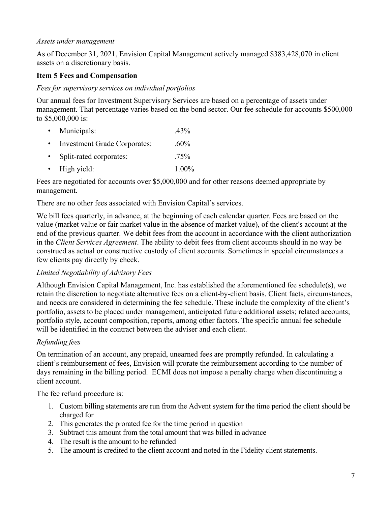#### *Assets under management*

As of December 31, 2021, Envision Capital Management actively managed \$383,428,070 in client assets on a discretionary basis.

### **Item 5 Fees and Compensation**

### *Fees for supervisory services on individual portfolios*

Our annual fees for Investment Supervisory Services are based on a percentage of assets under management. That percentage varies based on the bond sector. Our fee schedule for accounts \$500,000 to \$5,000,000 is:

- Municipals: .43%
- Investment Grade Corporates: .60% • Split-rated corporates: .75% • High yield: 1.00%

Fees are negotiated for accounts over \$5,000,000 and for other reasons deemed appropriate by management.

There are no other fees associated with Envision Capital's services.

We bill fees quarterly, in advance, at the beginning of each calendar quarter. Fees are based on the value (market value or fair market value in the absence of market value), of the client's account at the end of the previous quarter. We debit fees from the account in accordance with the client authorization in the *Client Services Agreement*. The ability to debit fees from client accounts should in no way be construed as actual or constructive custody of client accounts. Sometimes in special circumstances a few clients pay directly by check.

### *Limited Negotiability of Advisory Fees*

Although Envision Capital Management, Inc. has established the aforementioned fee schedule(s), we retain the discretion to negotiate alternative fees on a client-by-client basis. Client facts, circumstances, and needs are considered in determining the fee schedule. These include the complexity of the client's portfolio, assets to be placed under management, anticipated future additional assets; related accounts; portfolio style, account composition, reports, among other factors. The specific annual fee schedule will be identified in the contract between the adviser and each client.

### *Refunding fees*

On termination of an account, any prepaid, unearned fees are promptly refunded. In calculating a client's reimbursement of fees, Envision will prorate the reimbursement according to the number of days remaining in the billing period. ECMI does not impose a penalty charge when discontinuing a client account.

The fee refund procedure is:

- 1. Custom billing statements are run from the Advent system for the time period the client should be charged for
- 2. This generates the prorated fee for the time period in question
- 3. Subtract this amount from the total amount that was billed in advance
- 4. The result is the amount to be refunded
- 5. The amount is credited to the client account and noted in the Fidelity client statements.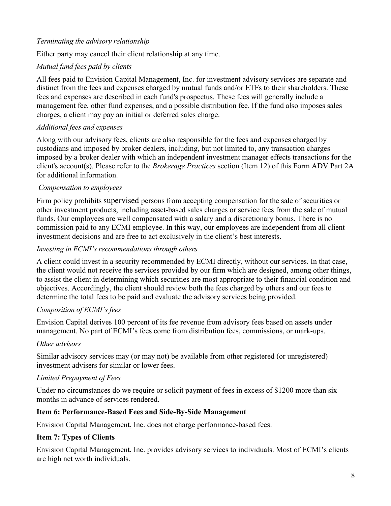# *Terminating the advisory relationship*

Either party may cancel their client relationship at any time.

# *Mutual fund fees paid by clients*

All fees paid to Envision Capital Management, Inc. for investment advisory services are separate and distinct from the fees and expenses charged by mutual funds and/or ETFs to their shareholders. These fees and expenses are described in each fund's prospectus. These fees will generally include a management fee, other fund expenses, and a possible distribution fee. If the fund also imposes sales charges, a client may pay an initial or deferred sales charge.

### *Additional fees and expenses*

Along with our advisory fees, clients are also responsible for the fees and expenses charged by custodians and imposed by broker dealers, including, but not limited to, any transaction charges imposed by a broker dealer with which an independent investment manager effects transactions for the client's account(s). Please refer to the *Brokerage Practices* section (Item 12) of this Form ADV Part 2A for additional information.

#### *Compensation to employees*

Firm policy prohibits supervised persons from accepting compensation for the sale of securities or other investment products, including asset-based sales charges or service fees from the sale of mutual funds. Our employees are well compensated with a salary and a discretionary bonus. There is no commission paid to any ECMI employee. In this way, our employees are independent from all client investment decisions and are free to act exclusively in the client's best interests.

#### *Investing in ECMI's recommendations through others*

A client could invest in a security recommended by ECMI directly, without our services. In that case, the client would not receive the services provided by our firm which are designed, among other things, to assist the client in determining which securities are most appropriate to their financial condition and objectives. Accordingly, the client should review both the fees charged by others and our fees to determine the total fees to be paid and evaluate the advisory services being provided.

#### *Composition of ECMI's fees*

Envision Capital derives 100 percent of its fee revenue from advisory fees based on assets under management. No part of ECMI's fees come from distribution fees, commissions, or mark-ups.

#### *Other advisors*

Similar advisory services may (or may not) be available from other registered (or unregistered) investment advisers for similar or lower fees.

#### *Limited Prepayment of Fees*

Under no circumstances do we require or solicit payment of fees in excess of \$1200 more than six months in advance of services rendered.

#### **Item 6: Performance-Based Fees and Side-By-Side Management**

Envision Capital Management, Inc. does not charge performance-based fees.

### **Item 7: Types of Clients**

Envision Capital Management, Inc. provides advisory services to individuals. Most of ECMI's clients are high net worth individuals.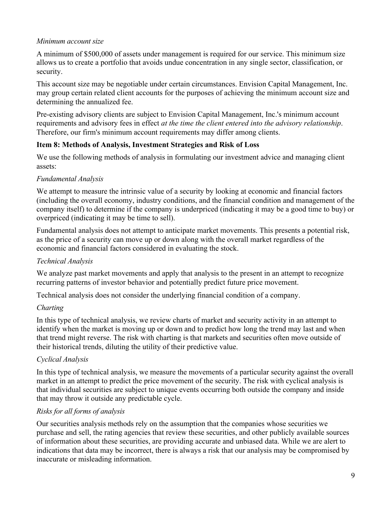### *Minimum account size*

A minimum of \$500,000 of assets under management is required for our service. This minimum size allows us to create a portfolio that avoids undue concentration in any single sector, classification, or security.

This account size may be negotiable under certain circumstances. Envision Capital Management, Inc. may group certain related client accounts for the purposes of achieving the minimum account size and determining the annualized fee.

Pre-existing advisory clients are subject to Envision Capital Management, Inc.'s minimum account requirements and advisory fees in effect *at the time the client entered into the advisory relationship*. Therefore, our firm's minimum account requirements may differ among clients.

# **Item 8: Methods of Analysis, Investment Strategies and Risk of Loss**

We use the following methods of analysis in formulating our investment advice and managing client assets:

# *Fundamental Analysis*

We attempt to measure the intrinsic value of a security by looking at economic and financial factors (including the overall economy, industry conditions, and the financial condition and management of the company itself) to determine if the company is underpriced (indicating it may be a good time to buy) or overpriced (indicating it may be time to sell).

Fundamental analysis does not attempt to anticipate market movements. This presents a potential risk, as the price of a security can move up or down along with the overall market regardless of the economic and financial factors considered in evaluating the stock.

# *Technical Analysis*

We analyze past market movements and apply that analysis to the present in an attempt to recognize recurring patterns of investor behavior and potentially predict future price movement.

Technical analysis does not consider the underlying financial condition of a company.

# *Charting*

In this type of technical analysis, we review charts of market and security activity in an attempt to identify when the market is moving up or down and to predict how long the trend may last and when that trend might reverse. The risk with charting is that markets and securities often move outside of their historical trends, diluting the utility of their predictive value.

# *Cyclical Analysis*

In this type of technical analysis, we measure the movements of a particular security against the overall market in an attempt to predict the price movement of the security. The risk with cyclical analysis is that individual securities are subject to unique events occurring both outside the company and inside that may throw it outside any predictable cycle.

# *Risks for all forms of analysis*

Our securities analysis methods rely on the assumption that the companies whose securities we purchase and sell, the rating agencies that review these securities, and other publicly available sources of information about these securities, are providing accurate and unbiased data. While we are alert to indications that data may be incorrect, there is always a risk that our analysis may be compromised by inaccurate or misleading information.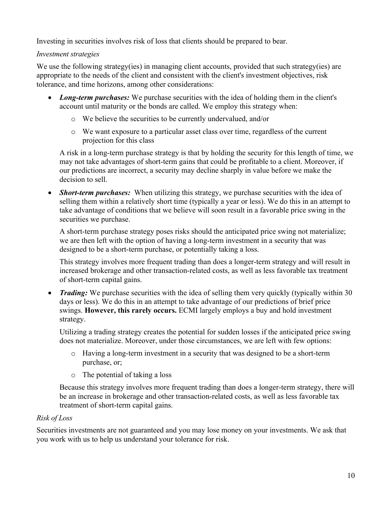Investing in securities involves risk of loss that clients should be prepared to bear.

# *Investment strategies*

We use the following strategy(ies) in managing client accounts, provided that such strategy(ies) are appropriate to the needs of the client and consistent with the client's investment objectives, risk tolerance, and time horizons, among other considerations:

- *Long-term purchases:* We purchase securities with the idea of holding them in the client's account until maturity or the bonds are called. We employ this strategy when:
	- o We believe the securities to be currently undervalued, and/or
	- o We want exposure to a particular asset class over time, regardless of the current projection for this class

A risk in a long-term purchase strategy is that by holding the security for this length of time, we may not take advantages of short-term gains that could be profitable to a client. Moreover, if our predictions are incorrect, a security may decline sharply in value before we make the decision to sell.

• *Short-term purchases:* When utilizing this strategy, we purchase securities with the idea of selling them within a relatively short time (typically a year or less). We do this in an attempt to take advantage of conditions that we believe will soon result in a favorable price swing in the securities we purchase.

A short-term purchase strategy poses risks should the anticipated price swing not materialize; we are then left with the option of having a long-term investment in a security that was designed to be a short-term purchase, or potentially taking a loss.

This strategy involves more frequent trading than does a longer-term strategy and will result in increased brokerage and other transaction-related costs, as well as less favorable tax treatment of short-term capital gains.

• *Trading:* We purchase securities with the idea of selling them very quickly (typically within 30) days or less). We do this in an attempt to take advantage of our predictions of brief price swings. **However, this rarely occurs.** ECMI largely employs a buy and hold investment strategy.

Utilizing a trading strategy creates the potential for sudden losses if the anticipated price swing does not materialize. Moreover, under those circumstances, we are left with few options:

- o Having a long-term investment in a security that was designed to be a short-term purchase, or;
- o The potential of taking a loss

Because this strategy involves more frequent trading than does a longer-term strategy, there will be an increase in brokerage and other transaction-related costs, as well as less favorable tax treatment of short-term capital gains.

# *Risk of Loss*

Securities investments are not guaranteed and you may lose money on your investments. We ask that you work with us to help us understand your tolerance for risk.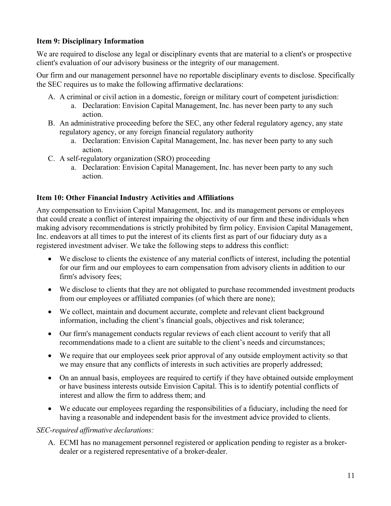### **Item 9: Disciplinary Information**

We are required to disclose any legal or disciplinary events that are material to a client's or prospective client's evaluation of our advisory business or the integrity of our management.

Our firm and our management personnel have no reportable disciplinary events to disclose. Specifically the SEC requires us to make the following affirmative declarations:

- A. A criminal or civil action in a domestic, foreign or military court of competent jurisdiction:
	- a. Declaration: Envision Capital Management, Inc. has never been party to any such action.
- B. An administrative proceeding before the SEC, any other federal regulatory agency, any state regulatory agency, or any foreign financial regulatory authority
	- a. Declaration: Envision Capital Management, Inc. has never been party to any such action.
- C. A self-regulatory organization (SRO) proceeding
	- a. Declaration: Envision Capital Management, Inc. has never been party to any such action.

## **Item 10: Other Financial Industry Activities and Affiliations**

Any compensation to Envision Capital Management, Inc. and its management persons or employees that could create a conflict of interest impairing the objectivity of our firm and these individuals when making advisory recommendations is strictly prohibited by firm policy. Envision Capital Management, Inc. endeavors at all times to put the interest of its clients first as part of our fiduciary duty as a registered investment adviser. We take the following steps to address this conflict:

- We disclose to clients the existence of any material conflicts of interest, including the potential for our firm and our employees to earn compensation from advisory clients in addition to our firm's advisory fees;
- We disclose to clients that they are not obligated to purchase recommended investment products from our employees or affiliated companies (of which there are none);
- We collect, maintain and document accurate, complete and relevant client background information, including the client's financial goals, objectives and risk tolerance;
- Our firm's management conducts regular reviews of each client account to verify that all recommendations made to a client are suitable to the client's needs and circumstances;
- We require that our employees seek prior approval of any outside employment activity so that we may ensure that any conflicts of interests in such activities are properly addressed;
- On an annual basis, employees are required to certify if they have obtained outside employment or have business interests outside Envision Capital. This is to identify potential conflicts of interest and allow the firm to address them; and
- We educate our employees regarding the responsibilities of a fiduciary, including the need for having a reasonable and independent basis for the investment advice provided to clients.

### *SEC-required affirmative declarations:*

A. ECMI has no management personnel registered or application pending to register as a brokerdealer or a registered representative of a broker-dealer.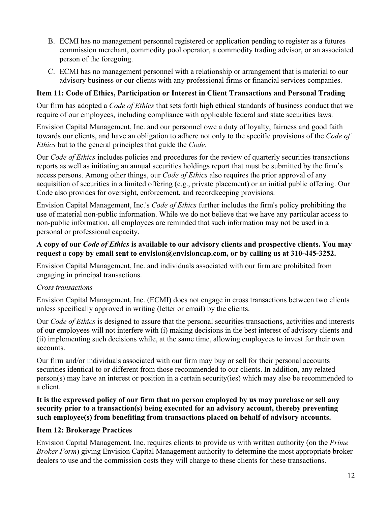- B. ECMI has no management personnel registered or application pending to register as a futures commission merchant, commodity pool operator, a commodity trading advisor, or an associated person of the foregoing.
- C. ECMI has no management personnel with a relationship or arrangement that is material to our advisory business or our clients with any professional firms or financial services companies.

# **Item 11: Code of Ethics, Participation or Interest in Client Transactions and Personal Trading**

Our firm has adopted a *Code of Ethics* that sets forth high ethical standards of business conduct that we require of our employees, including compliance with applicable federal and state securities laws.

Envision Capital Management, Inc. and our personnel owe a duty of loyalty, fairness and good faith towards our clients, and have an obligation to adhere not only to the specific provisions of the *Code of Ethics* but to the general principles that guide the *Code*.

Our *Code of Ethics* includes policies and procedures for the review of quarterly securities transactions reports as well as initiating an annual securities holdings report that must be submitted by the firm's access persons. Among other things, our *Code of Ethics* also requires the prior approval of any acquisition of securities in a limited offering (e.g., private placement) or an initial public offering. Our Code also provides for oversight, enforcement, and recordkeeping provisions.

Envision Capital Management, Inc.'s *Code of Ethics* further includes the firm's policy prohibiting the use of material non-public information. While we do not believe that we have any particular access to non-public information, all employees are reminded that such information may not be used in a personal or professional capacity.

# **A copy of our** *Code of Ethics* **is available to our advisory clients and prospective clients. You may request a copy by email sent to envision@envisioncap.com, or by calling us at 310-445-3252.**

Envision Capital Management, Inc. and individuals associated with our firm are prohibited from engaging in principal transactions.

# *Cross transactions*

Envision Capital Management, Inc. (ECMI) does not engage in cross transactions between two clients unless specifically approved in writing (letter or email) by the clients.

Our *Code of Ethics* is designed to assure that the personal securities transactions, activities and interests of our employees will not interfere with (i) making decisions in the best interest of advisory clients and (ii) implementing such decisions while, at the same time, allowing employees to invest for their own accounts.

Our firm and/or individuals associated with our firm may buy or sell for their personal accounts securities identical to or different from those recommended to our clients. In addition, any related person(s) may have an interest or position in a certain security(ies) which may also be recommended to a client.

### **It is the expressed policy of our firm that no person employed by us may purchase or sell any security prior to a transaction(s) being executed for an advisory account, thereby preventing such employee(s) from benefiting from transactions placed on behalf of advisory accounts.**

# **Item 12: Brokerage Practices**

Envision Capital Management, Inc. requires clients to provide us with written authority (on the *Prime Broker Form*) giving Envision Capital Management authority to determine the most appropriate broker dealers to use and the commission costs they will charge to these clients for these transactions.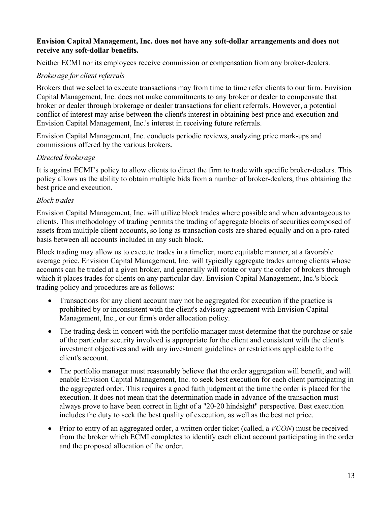#### **Envision Capital Management, Inc. does not have any soft-dollar arrangements and does not receive any soft-dollar benefits.**

Neither ECMI nor its employees receive commission or compensation from any broker-dealers.

## *Brokerage for client referrals*

Brokers that we select to execute transactions may from time to time refer clients to our firm. Envision Capital Management, Inc. does not make commitments to any broker or dealer to compensate that broker or dealer through brokerage or dealer transactions for client referrals. However, a potential conflict of interest may arise between the client's interest in obtaining best price and execution and Envision Capital Management, Inc.'s interest in receiving future referrals.

Envision Capital Management, Inc. conducts periodic reviews, analyzing price mark-ups and commissions offered by the various brokers.

### *Directed brokerage*

It is against ECMI's policy to allow clients to direct the firm to trade with specific broker-dealers. This policy allows us the ability to obtain multiple bids from a number of broker-dealers, thus obtaining the best price and execution.

### *Block trades*

Envision Capital Management, Inc. will utilize block trades where possible and when advantageous to clients. This methodology of trading permits the trading of aggregate blocks of securities composed of assets from multiple client accounts, so long as transaction costs are shared equally and on a pro-rated basis between all accounts included in any such block.

Block trading may allow us to execute trades in a timelier, more equitable manner, at a favorable average price. Envision Capital Management, Inc. will typically aggregate trades among clients whose accounts can be traded at a given broker, and generally will rotate or vary the order of brokers through which it places trades for clients on any particular day. Envision Capital Management, Inc.'s block trading policy and procedures are as follows:

- Transactions for any client account may not be aggregated for execution if the practice is prohibited by or inconsistent with the client's advisory agreement with Envision Capital Management, Inc., or our firm's order allocation policy.
- The trading desk in concert with the portfolio manager must determine that the purchase or sale of the particular security involved is appropriate for the client and consistent with the client's investment objectives and with any investment guidelines or restrictions applicable to the client's account.
- The portfolio manager must reasonably believe that the order aggregation will benefit, and will enable Envision Capital Management, Inc. to seek best execution for each client participating in the aggregated order. This requires a good faith judgment at the time the order is placed for the execution. It does not mean that the determination made in advance of the transaction must always prove to have been correct in light of a "20-20 hindsight" perspective. Best execution includes the duty to seek the best quality of execution, as well as the best net price.
- Prior to entry of an aggregated order, a written order ticket (called, a *VCON*) must be received from the broker which ECMI completes to identify each client account participating in the order and the proposed allocation of the order.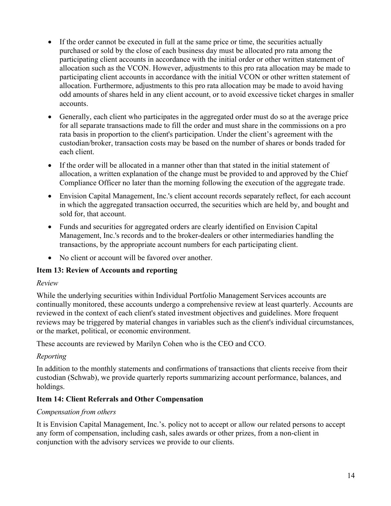- If the order cannot be executed in full at the same price or time, the securities actually purchased or sold by the close of each business day must be allocated pro rata among the participating client accounts in accordance with the initial order or other written statement of allocation such as the VCON. However, adjustments to this pro rata allocation may be made to participating client accounts in accordance with the initial VCON or other written statement of allocation. Furthermore, adjustments to this pro rata allocation may be made to avoid having odd amounts of shares held in any client account, or to avoid excessive ticket charges in smaller accounts.
- Generally, each client who participates in the aggregated order must do so at the average price for all separate transactions made to fill the order and must share in the commissions on a pro rata basis in proportion to the client's participation. Under the client's agreement with the custodian/broker, transaction costs may be based on the number of shares or bonds traded for each client.
- If the order will be allocated in a manner other than that stated in the initial statement of allocation, a written explanation of the change must be provided to and approved by the Chief Compliance Officer no later than the morning following the execution of the aggregate trade.
- Envision Capital Management, Inc.'s client account records separately reflect, for each account in which the aggregated transaction occurred, the securities which are held by, and bought and sold for, that account.
- Funds and securities for aggregated orders are clearly identified on Envision Capital Management, Inc.'s records and to the broker-dealers or other intermediaries handling the transactions, by the appropriate account numbers for each participating client.
- No client or account will be favored over another.

# **Item 13: Review of Accounts and reporting**

# *Review*

While the underlying securities within Individual Portfolio Management Services accounts are continually monitored, these accounts undergo a comprehensive review at least quarterly. Accounts are reviewed in the context of each client's stated investment objectives and guidelines. More frequent reviews may be triggered by material changes in variables such as the client's individual circumstances, or the market, political, or economic environment.

These accounts are reviewed by Marilyn Cohen who is the CEO and CCO.

# *Reporting*

In addition to the monthly statements and confirmations of transactions that clients receive from their custodian (Schwab), we provide quarterly reports summarizing account performance, balances, and holdings.

# **Item 14: Client Referrals and Other Compensation**

# *Compensation from others*

It is Envision Capital Management, Inc.'s. policy not to accept or allow our related persons to accept any form of compensation, including cash, sales awards or other prizes, from a non-client in conjunction with the advisory services we provide to our clients.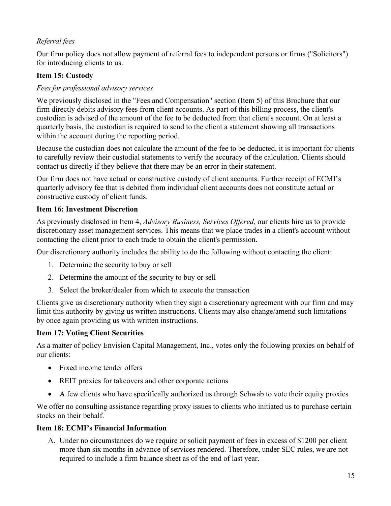# *Referral fees*

Our firm policy does not allow payment of referral fees to independent persons or firms ("Solicitors") for introducing clients to us.

# **Item 15: Custody**

## *Fees for professional advisory services*

We previously disclosed in the "Fees and Compensation" section (Item 5) of this Brochure that our firm directly debits advisory fees from client accounts. As part of this billing process, the client's custodian is advised of the amount of the fee to be deducted from that client's account. On at least a quarterly basis, the custodian is required to send to the client a statement showing all transactions within the account during the reporting period.

Because the custodian does not calculate the amount of the fee to be deducted, it is important for clients to carefully review their custodial statements to verify the accuracy of the calculation. Clients should contact us directly if they believe that there may be an error in their statement.

Our firm does not have actual or constructive custody of client accounts. Further receipt of ECMI's quarterly advisory fee that is debited from individual client accounts does not constitute actual or constructive custody of client funds.

### **Item 16: Investment Discretion**

As previously disclosed in Item 4, *Advisory Business, Services Offered,* our clients hire us to provide discretionary asset management services. This means that we place trades in a client's account without contacting the client prior to each trade to obtain the client's permission.

Our discretionary authority includes the ability to do the following without contacting the client:

- 1. Determine the security to buy or sell
- 2. Determine the amount of the security to buy or sell
- 3. Select the broker/dealer from which to execute the transaction

Clients give us discretionary authority when they sign a discretionary agreement with our firm and may limit this authority by giving us written instructions. Clients may also change/amend such limitations by once again providing us with written instructions.

### **Item 17: Voting Client Securities**

As a matter of policy Envision Capital Management, Inc., votes only the following proxies on behalf of our clients:

- Fixed income tender offers
- REIT proxies for takeovers and other corporate actions
- A few clients who have specifically authorized us through Schwab to vote their equity proxies

We offer no consulting assistance regarding proxy issues to clients who initiated us to purchase certain stocks on their behalf.

### **Item 18: ECMI's Financial Information**

A. Under no circumstances do we require or solicit payment of fees in excess of \$1200 per client more than six months in advance of services rendered. Therefore, under SEC rules, we are not required to include a firm balance sheet as of the end of last year.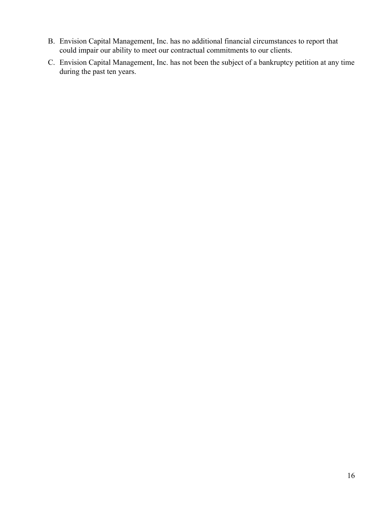- B. Envision Capital Management, Inc. has no additional financial circumstances to report that could impair our ability to meet our contractual commitments to our clients.
- C. Envision Capital Management, Inc. has not been the subject of a bankruptcy petition at any time during the past ten years.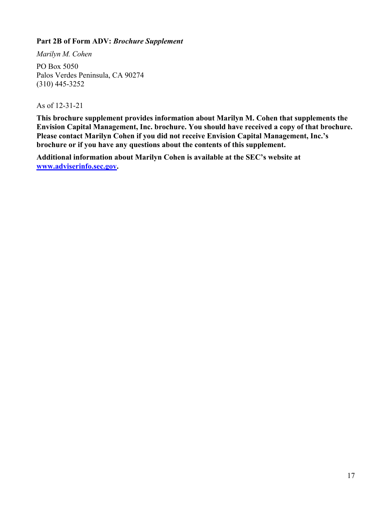### **Part 2B of Form ADV:** *Brochure Supplement*

*Marilyn M. Cohen*

PO Box 5050 Palos Verdes Peninsula, CA 90274 (310) 445-3252

As of 12-31-21

**This brochure supplement provides information about Marilyn M. Cohen that supplements the Envision Capital Management, Inc. brochure. You should have received a copy of that brochure. Please contact Marilyn Cohen if you did not receive Envision Capital Management, Inc.'s brochure or if you have any questions about the contents of this supplement.**

**Additional information about Marilyn Cohen is available at the SEC's website at www.adviserinfo.sec.gov.**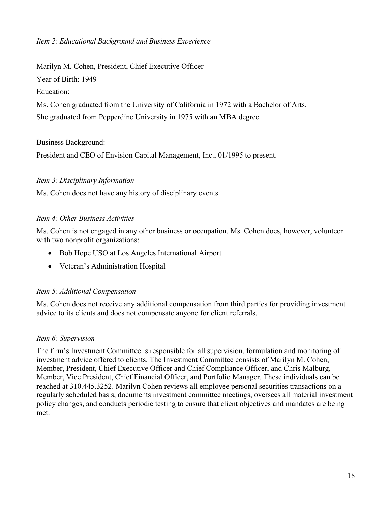## *Item 2: Educational Background and Business Experience*

#### Marilyn M. Cohen, President, Chief Executive Officer

Year of Birth: 1949

### Education:

Ms. Cohen graduated from the University of California in 1972 with a Bachelor of Arts.

She graduated from Pepperdine University in 1975 with an MBA degree

## Business Background:

President and CEO of Envision Capital Management, Inc., 01/1995 to present.

## *Item 3: Disciplinary Information*

Ms. Cohen does not have any history of disciplinary events.

## *Item 4: Other Business Activities*

Ms. Cohen is not engaged in any other business or occupation. Ms. Cohen does, however, volunteer with two nonprofit organizations:

- Bob Hope USO at Los Angeles International Airport
- Veteran's Administration Hospital

# *Item 5: Additional Compensation*

Ms. Cohen does not receive any additional compensation from third parties for providing investment advice to its clients and does not compensate anyone for client referrals.

### *Item 6: Supervision*

The firm's Investment Committee is responsible for all supervision, formulation and monitoring of investment advice offered to clients. The Investment Committee consists of Marilyn M. Cohen, Member, President, Chief Executive Officer and Chief Compliance Officer, and Chris Malburg, Member, Vice President, Chief Financial Officer, and Portfolio Manager. These individuals can be reached at 310.445.3252. Marilyn Cohen reviews all employee personal securities transactions on a regularly scheduled basis, documents investment committee meetings, oversees all material investment policy changes, and conducts periodic testing to ensure that client objectives and mandates are being met.